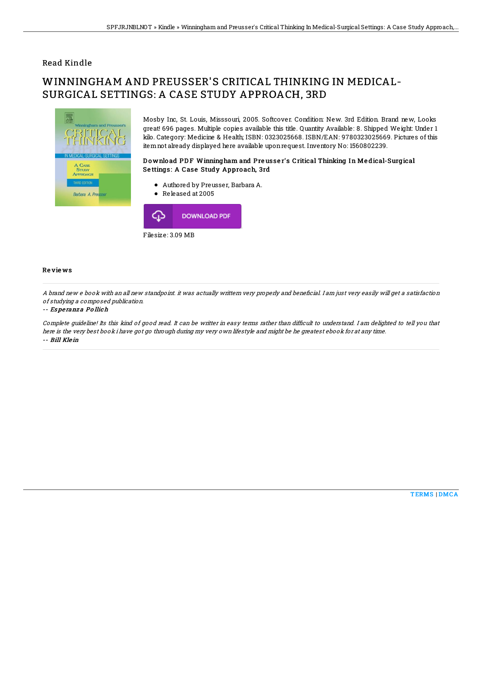## Read Kindle

# WINNINGHAM AND PREUSSER'S CRITICAL THINKING IN MEDICAL-SURGICAL SETTINGS: A CASE STUDY APPROACH, 3RD



Mosby Inc, St. Louis, Misssouri, 2005. Softcover. Condition: New. 3rd Edition. Brand new, Looks great! 696 pages. Multiple copies available this title. Quantity Available: 8. Shipped Weight: Under 1 kilo. Category: Medicine & Health; ISBN: 0323025668. ISBN/EAN: 9780323025669. Pictures of this itemnot already displayed here available uponrequest. Inventory No: 1560802239.

### D o wnlo ad PD F Winningham and Pre usse r's Critical Thinking In Me dical-Surgical Settings: A Case Study Approach, 3rd

- Authored by Preusser, Barbara A.
- Released at 2005



#### Re vie ws

A brand new e book with an all new standpoint, it was actually writtern very properly and beneficial. I am just very easily will get a satisfaction of studying <sup>a</sup> composed publication.

#### -- Es pe ranz <sup>a</sup> Po llich

Complete guideline! Its this kind of good read. It can be writter in easy terms rather than difficult to understand. I am delighted to tell you that here is the very best book i have got go through during my very own lifestyle and might be he greatest ebook for at any time. -- Bill Kle in